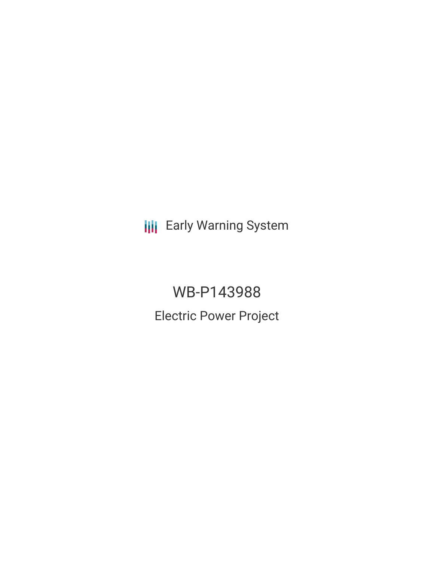**III** Early Warning System

WB-P143988 Electric Power Project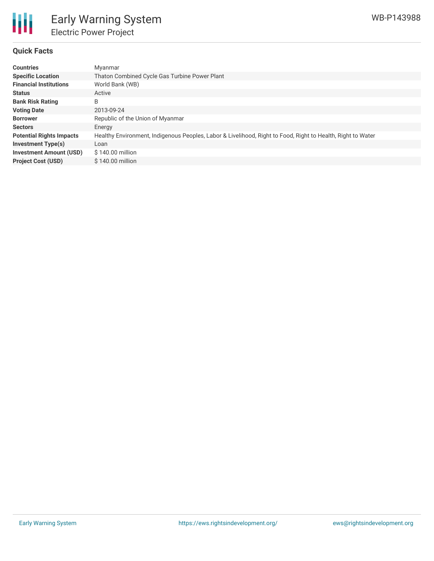

## **Quick Facts**

| <b>Countries</b>                | Myanmar                                                                                                     |
|---------------------------------|-------------------------------------------------------------------------------------------------------------|
| <b>Specific Location</b>        | Thaton Combined Cycle Gas Turbine Power Plant                                                               |
| <b>Financial Institutions</b>   | World Bank (WB)                                                                                             |
| <b>Status</b>                   | Active                                                                                                      |
| <b>Bank Risk Rating</b>         | B                                                                                                           |
| <b>Voting Date</b>              | 2013-09-24                                                                                                  |
| <b>Borrower</b>                 | Republic of the Union of Myanmar                                                                            |
| <b>Sectors</b>                  | Energy                                                                                                      |
| <b>Potential Rights Impacts</b> | Healthy Environment, Indigenous Peoples, Labor & Livelihood, Right to Food, Right to Health, Right to Water |
| <b>Investment Type(s)</b>       | Loan                                                                                                        |
| <b>Investment Amount (USD)</b>  | $$140.00$ million                                                                                           |
| <b>Project Cost (USD)</b>       | $$140.00$ million                                                                                           |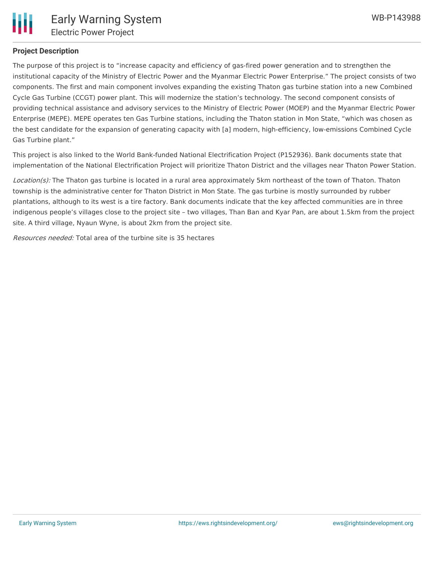

# **Project Description**

The purpose of this project is to "increase capacity and efficiency of gas-fired power generation and to strengthen the institutional capacity of the Ministry of Electric Power and the Myanmar Electric Power Enterprise." The project consists of two components. The first and main component involves expanding the existing Thaton gas turbine station into a new Combined Cycle Gas Turbine (CCGT) power plant. This will modernize the station's technology. The second component consists of providing technical assistance and advisory services to the Ministry of Electric Power (MOEP) and the Myanmar Electric Power Enterprise (MEPE). MEPE operates ten Gas Turbine stations, including the Thaton station in Mon State, "which was chosen as the best candidate for the expansion of generating capacity with [a] modern, high-efficiency, low-emissions Combined Cycle Gas Turbine plant."

This project is also linked to the World Bank-funded National Electrification Project (P152936). Bank documents state that implementation of the National Electrification Project will prioritize Thaton District and the villages near Thaton Power Station.

Location(s): The Thaton gas turbine is located in a rural area approximately 5km northeast of the town of Thaton. Thaton township is the administrative center for Thaton District in Mon State. The gas turbine is mostly surrounded by rubber plantations, although to its west is a tire factory. Bank documents indicate that the key affected communities are in three indigenous people's villages close to the project site – two villages, Than Ban and Kyar Pan, are about 1.5km from the project site. A third village, Nyaun Wyne, is about 2km from the project site.

Resources needed: Total area of the turbine site is 35 hectares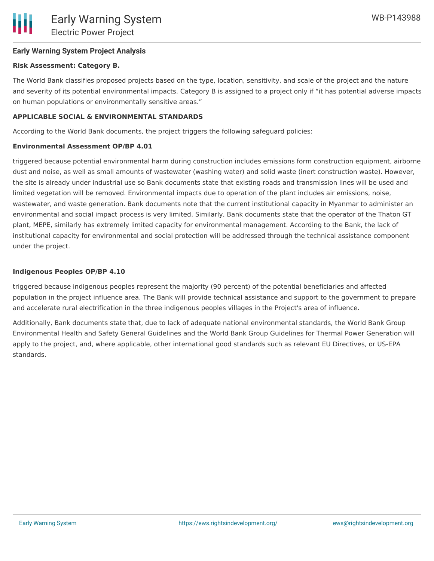## **Early Warning System Project Analysis**

### **Risk Assessment: Category B.**

The World Bank classifies proposed projects based on the type, location, sensitivity, and scale of the project and the nature and severity of its potential environmental impacts. Category B is assigned to a project only if "it has potential adverse impacts on human populations or environmentally sensitive areas."

### **APPLICABLE SOCIAL & ENVIRONMENTAL STANDARDS**

According to the World Bank documents, the project triggers the following safeguard policies:

#### **Environmental Assessment OP/BP 4.01**

triggered because potential environmental harm during construction includes emissions form construction equipment, airborne dust and noise, as well as small amounts of wastewater (washing water) and solid waste (inert construction waste). However, the site is already under industrial use so Bank documents state that existing roads and transmission lines will be used and limited vegetation will be removed. Environmental impacts due to operation of the plant includes air emissions, noise, wastewater, and waste generation. Bank documents note that the current institutional capacity in Myanmar to administer an environmental and social impact process is very limited. Similarly, Bank documents state that the operator of the Thaton GT plant, MEPE, similarly has extremely limited capacity for environmental management. According to the Bank, the lack of institutional capacity for environmental and social protection will be addressed through the technical assistance component under the project.

#### **Indigenous Peoples OP/BP 4.10**

triggered because indigenous peoples represent the majority (90 percent) of the potential beneficiaries and affected population in the project influence area. The Bank will provide technical assistance and support to the government to prepare and accelerate rural electrification in the three indigenous peoples villages in the Project's area of influence.

Additionally, Bank documents state that, due to lack of adequate national environmental standards, the World Bank Group Environmental Health and Safety General Guidelines and the World Bank Group Guidelines for Thermal Power Generation will apply to the project, and, where applicable, other international good standards such as relevant EU Directives, or US-EPA standards.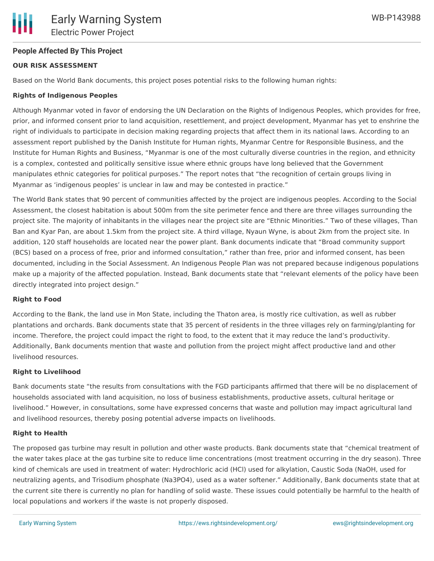## **People Affected By This Project**

## **OUR RISK ASSESSMENT**

Based on the World Bank documents, this project poses potential risks to the following human rights:

## **Rights of Indigenous Peoples**

Although Myanmar voted in favor of endorsing the UN Declaration on the Rights of Indigenous Peoples, which provides for free, prior, and informed consent prior to land acquisition, resettlement, and project development, Myanmar has yet to enshrine the right of individuals to participate in decision making regarding projects that affect them in its national laws. According to an assessment report published by the Danish Institute for Human rights, Myanmar Centre for Responsible Business, and the Institute for Human Rights and Business, "Myanmar is one of the most culturally diverse countries in the region, and ethnicity is a complex, contested and politically sensitive issue where ethnic groups have long believed that the Government manipulates ethnic categories for political purposes." The report notes that "the recognition of certain groups living in Myanmar as 'indigenous peoples' is unclear in law and may be contested in practice."

The World Bank states that 90 percent of communities affected by the project are indigenous peoples. According to the Social Assessment, the closest habitation is about 500m from the site perimeter fence and there are three villages surrounding the project site. The majority of inhabitants in the villages near the project site are "Ethnic Minorities." Two of these villages, Than Ban and Kyar Pan, are about 1.5km from the project site. A third village, Nyaun Wyne, is about 2km from the project site. In addition, 120 staff households are located near the power plant. Bank documents indicate that "Broad community support (BCS) based on a process of free, prior and informed consultation," rather than free, prior and informed consent, has been documented, including in the Social Assessment. An Indigenous People Plan was not prepared because indigenous populations make up a majority of the affected population. Instead, Bank documents state that "relevant elements of the policy have been directly integrated into project design."

### **Right to Food**

According to the Bank, the land use in Mon State, including the Thaton area, is mostly rice cultivation, as well as rubber plantations and orchards. Bank documents state that 35 percent of residents in the three villages rely on farming/planting for income. Therefore, the project could impact the right to food, to the extent that it may reduce the land's productivity. Additionally, Bank documents mention that waste and pollution from the project might affect productive land and other livelihood resources.

### **Right to Livelihood**

Bank documents state "the results from consultations with the FGD participants affirmed that there will be no displacement of households associated with land acquisition, no loss of business establishments, productive assets, cultural heritage or livelihood." However, in consultations, some have expressed concerns that waste and pollution may impact agricultural land and livelihood resources, thereby posing potential adverse impacts on livelihoods.

#### **Right to Health**

The proposed gas turbine may result in pollution and other waste products. Bank documents state that "chemical treatment of the water takes place at the gas turbine site to reduce lime concentrations (most treatment occurring in the dry season). Three kind of chemicals are used in treatment of water: Hydrochloric acid (HCl) used for alkylation, Caustic Soda (NaOH, used for neutralizing agents, and Trisodium phosphate (Na3PO4), used as a water softener." Additionally, Bank documents state that at the current site there is currently no plan for handling of solid waste. These issues could potentially be harmful to the health of local populations and workers if the waste is not properly disposed.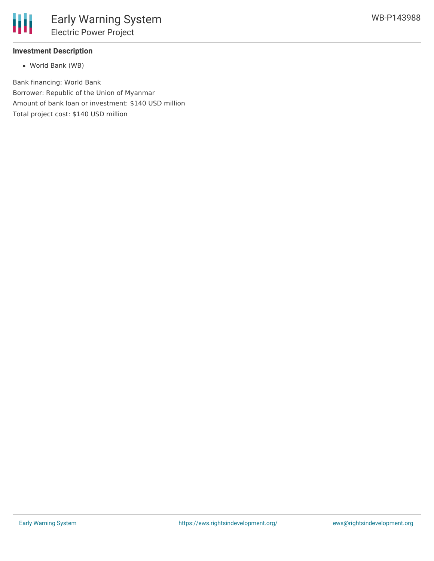

## **Investment Description**

World Bank (WB)

Bank financing: World Bank Borrower: Republic of the Union of Myanmar Amount of bank loan or investment: \$140 USD million Total project cost: \$140 USD million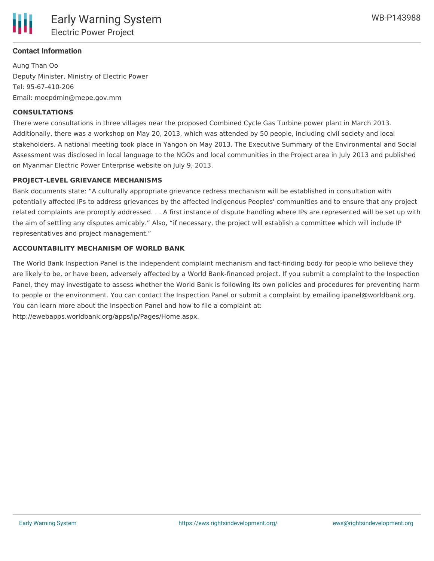

### **Contact Information**

Aung Than Oo Deputy Minister, Ministry of Electric Power Tel: 95-67-410-206 Email: moepdmin@mepe.gov.mm

#### **CONSULTATIONS**

There were consultations in three villages near the proposed Combined Cycle Gas Turbine power plant in March 2013. Additionally, there was a workshop on May 20, 2013, which was attended by 50 people, including civil society and local stakeholders. A national meeting took place in Yangon on May 2013. The Executive Summary of the Environmental and Social Assessment was disclosed in local language to the NGOs and local communities in the Project area in July 2013 and published on Myanmar Electric Power Enterprise website on July 9, 2013.

#### **PROJECT-LEVEL GRIEVANCE MECHANISMS**

Bank documents state: "A culturally appropriate grievance redress mechanism will be established in consultation with potentially affected IPs to address grievances by the affected Indigenous Peoples' communities and to ensure that any project related complaints are promptly addressed. . . A first instance of dispute handling where IPs are represented will be set up with the aim of settling any disputes amicably." Also, "if necessary, the project will establish a committee which will include IP representatives and project management."

#### **ACCOUNTABILITY MECHANISM OF WORLD BANK**

The World Bank Inspection Panel is the independent complaint mechanism and fact-finding body for people who believe they are likely to be, or have been, adversely affected by a World Bank-financed project. If you submit a complaint to the Inspection Panel, they may investigate to assess whether the World Bank is following its own policies and procedures for preventing harm to people or the environment. You can contact the Inspection Panel or submit a complaint by emailing ipanel@worldbank.org. You can learn more about the Inspection Panel and how to file a complaint at: http://ewebapps.worldbank.org/apps/ip/Pages/Home.aspx.